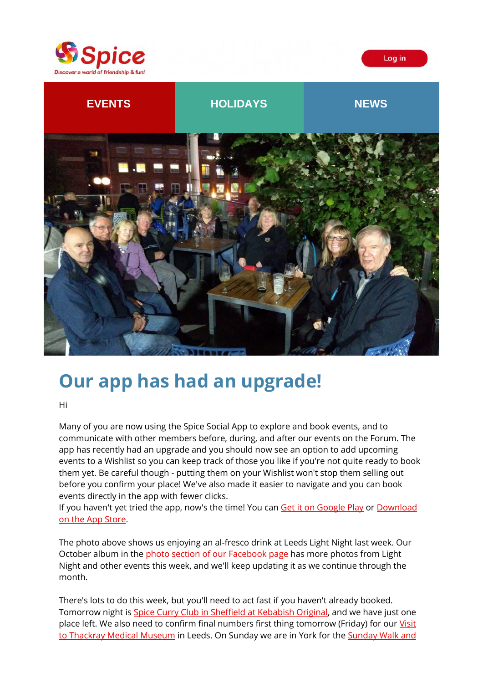





# **Our app has had an upgrade!**

Hi

Many of you are now using the Spice Social App to explore and book events, and to communicate with other members before, during, and after our events on the Forum. The app has recently had an upgrade and you should now see an option to add upcoming events to a Wishlist so you can keep track of those you like if you're not quite ready to book them yet. Be careful though - putting them on your Wishlist won't stop them selling out before you confirm your place! We've also made it easier to navigate and you can book events directly in the app with fewer clicks.

If you haven't yet tried the app, now's the time! You can [Get it on Google Play](https://spiceuk.lt.acemlna.com/Prod/link-tracker?redirectUrl=aHR0cHMlM0ElMkYlMkZwbGF5Lmdvb2dsZS5jb20lMkZzdG9yZSUyRmFwcHMlMkZkZXRhaWxzJTNGaWQlM0Rjb20uU3BpY2UuTWVtYmVyQXBw&sig=89z7vmD5nW2eorjQyxrqHxpZQgeDUUofXAPVEmMgmXmt&iat=1634835112&a=%7C%7C650344965%7C%7C&account=spiceuk%2Eactivehosted%2Ecom&email=1lNuJE%2BrfgC%2F8jRYTdcwIV8mo4ad0FCroTtAVDq%2FbzQ%3D&s=b900027c55ea3ffe9431fd4817f89468&i=195A211A4A4872) or Download [on the App Store.](https://spiceuk.lt.acemlna.com/Prod/link-tracker?redirectUrl=aHR0cHMlM0ElMkYlMkZhcHBzLmFwcGxlLmNvbSUyRmdiJTJGYXBwJTJGc3BpY2Utc29jaWFsJTJGaWQxNDgyOTcxMDk4JTNGaXRzY3QlM0RhcHBzX2JveCUyNiUyNml0c2NnJTNEMzAyMDA=&sig=EcPdbbUNXQFKSAwHyCyUoUPNDSgUMkSZmTRUJTJokeYb&iat=1634835112&a=%7C%7C650344965%7C%7C&account=spiceuk%2Eactivehosted%2Ecom&email=1lNuJE%2BrfgC%2F8jRYTdcwIV8mo4ad0FCroTtAVDq%2FbzQ%3D&s=b900027c55ea3ffe9431fd4817f89468&i=195A211A4A4873)

The photo above shows us enjoying an al-fresco drink at Leeds Light Night last week. Our October album in th[e photo section of our Facebook page](https://spiceuk.lt.acemlna.com/Prod/link-tracker?redirectUrl=aHR0cHMlM0ElMkYlMkZ3d3cuZmFjZWJvb2suY29tJTJGU3BpY2VZb3Jrc2hpcmUlMkZwaG90b3M=&sig=J3PxqrfMvgfRViRC7R33mtBomQvU4TJYgSFfVNeSPAKy&iat=1634835112&a=%7C%7C650344965%7C%7C&account=spiceuk%2Eactivehosted%2Ecom&email=1lNuJE%2BrfgC%2F8jRYTdcwIV8mo4ad0FCroTtAVDq%2FbzQ%3D&s=b900027c55ea3ffe9431fd4817f89468&i=195A211A4A4852) has more photos from Light Night and other events this week, and we'll keep updating it as we continue through the month.

There's lots to do this week, but you'll need to act fast if you haven't already booked. Tomorrow night is [Spice Curry Club in Sheffield at Kebabish Original,](https://spiceuk.lt.acemlna.com/Prod/link-tracker?redirectUrl=aHR0cHMlM0ElMkYlMkZ3d3cuc3BpY2V1ay5jb20lMkZldmVudHMtaG9saWRheXMlMkZzcGljZS1jdXJyeS1jbHViLXZpc2l0cy1rZWJhYmlzaC1vcmlnaW5hbC1zaGVmZmllbGQ=&sig=6sR8qX9TKDmesEH19FvhJ3GR5LvnjKSSffHvDxvf3EWk&iat=1634835112&a=%7C%7C650344965%7C%7C&account=spiceuk%2Eactivehosted%2Ecom&email=1lNuJE%2BrfgC%2F8jRYTdcwIV8mo4ad0FCroTtAVDq%2FbzQ%3D&s=b900027c55ea3ffe9431fd4817f89468&i=195A211A4A4860) and we have just one place left. We also need to confirm final numbers first thing tomorrow (Friday) for our Visit [to Thackray Medical Museum](https://spiceuk.lt.acemlna.com/Prod/link-tracker?redirectUrl=aHR0cHMlM0ElMkYlMkZ3d3cuc3BpY2V1ay5jb20lMkZldmVudHMtaG9saWRheXMlMkZ2aXNpdC10by10aGUtdGhhY2tyYXktbWVkaWNhbC1tdXNldW0=&sig=A5bfNuYmQHyE1HTYQLWAen8HFS3xejTJF6uwsHVWLfEv&iat=1634835112&a=%7C%7C650344965%7C%7C&account=spiceuk%2Eactivehosted%2Ecom&email=1lNuJE%2BrfgC%2F8jRYTdcwIV8mo4ad0FCroTtAVDq%2FbzQ%3D&s=b900027c55ea3ffe9431fd4817f89468&i=195A211A4A4881) in Leeds. On Sunday we are in York for the Sunday Walk and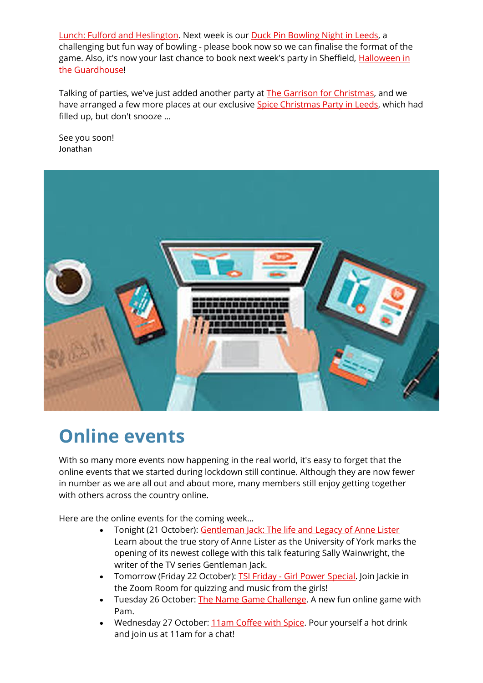[Lunch: Fulford and Heslington.](https://spiceuk.lt.acemlna.com/Prod/link-tracker?redirectUrl=aHR0cHMlM0ElMkYlMkZ3d3cuc3BpY2V1ay5jb20lMkZldmVudHMtaG9saWRheXMlMkZzdW5kYXktd2Fsay1hbmQtbHVuY2gtZnVsZm9yZC1hbmQtaGVzbGluZ3Rvbg==&sig=8RZZwoF1X4yr8zWHKA9xFqXB1RhXjTPYmvmLgbPJki8j&iat=1634835112&a=%7C%7C650344965%7C%7C&account=spiceuk%2Eactivehosted%2Ecom&email=1lNuJE%2BrfgC%2F8jRYTdcwIV8mo4ad0FCroTtAVDq%2FbzQ%3D&s=b900027c55ea3ffe9431fd4817f89468&i=195A211A4A4882) Next week is our [Duck Pin Bowling Night in Leeds,](https://spiceuk.lt.acemlna.com/Prod/link-tracker?redirectUrl=aHR0cHMlM0ElMkYlMkZ3d3cuc3BpY2V1ay5jb20lMkZldmVudHMtaG9saWRheXMlMkZkdWNrLXBpbi1ib3dsaW5nLWF0LXRoZS1yb3h5LWJhbGwtcm9vbS1tZXJyaW9uLXN0cmVldC1sZWVkcw==&sig=9A5EpvZuo7udH4Axv2pHF6jHZveNHhSVZRX6GCqmaQxw&iat=1634835112&a=%7C%7C650344965%7C%7C&account=spiceuk%2Eactivehosted%2Ecom&email=1lNuJE%2BrfgC%2F8jRYTdcwIV8mo4ad0FCroTtAVDq%2FbzQ%3D&s=b900027c55ea3ffe9431fd4817f89468&i=195A211A4A4883) a challenging but fun way of bowling - please book now so we can finalise the format of the game. Also, it's now your last chance to book next week's party in Sheffield, [Halloween in](https://spiceuk.lt.acemlna.com/Prod/link-tracker?redirectUrl=aHR0cHMlM0ElMkYlMkZ3d3cuc3BpY2V1ay5jb20lMkZldmVudHMtaG9saWRheXMlMkZoYWxsb3dlZW4taW4tdGhlLWd1YXJkaG91c2U=&sig=5qYHeJD1RzKbBB63gYFeVm3GHm937keUWCbZ7ZQNymCJ&iat=1634835112&a=%7C%7C650344965%7C%7C&account=spiceuk%2Eactivehosted%2Ecom&email=1lNuJE%2BrfgC%2F8jRYTdcwIV8mo4ad0FCroTtAVDq%2FbzQ%3D&s=b900027c55ea3ffe9431fd4817f89468&i=195A211A4A4867)  [the Guardhouse!](https://spiceuk.lt.acemlna.com/Prod/link-tracker?redirectUrl=aHR0cHMlM0ElMkYlMkZ3d3cuc3BpY2V1ay5jb20lMkZldmVudHMtaG9saWRheXMlMkZoYWxsb3dlZW4taW4tdGhlLWd1YXJkaG91c2U=&sig=5qYHeJD1RzKbBB63gYFeVm3GHm937keUWCbZ7ZQNymCJ&iat=1634835112&a=%7C%7C650344965%7C%7C&account=spiceuk%2Eactivehosted%2Ecom&email=1lNuJE%2BrfgC%2F8jRYTdcwIV8mo4ad0FCroTtAVDq%2FbzQ%3D&s=b900027c55ea3ffe9431fd4817f89468&i=195A211A4A4867)

Talking of parties, we've just added another party at [The Garrison for Christmas,](https://spiceuk.lt.acemlna.com/Prod/link-tracker?redirectUrl=aHR0cHMlM0ElMkYlMkZ3d3cuc3BpY2V1ay5jb20lMkZldmVudHMtaG9saWRheXMlMkZzaGVmZmllbGQtY2hyaXN0bWFzLXBhcnR5LWF0LXRoZS1nYXJyaXNvbg==&sig=VZVtrTwVJm7BvaiPNpbyPeSopak9ToqromVPAYBi1Ho&iat=1634835112&a=%7C%7C650344965%7C%7C&account=spiceuk%2Eactivehosted%2Ecom&email=1lNuJE%2BrfgC%2F8jRYTdcwIV8mo4ad0FCroTtAVDq%2FbzQ%3D&s=b900027c55ea3ffe9431fd4817f89468&i=195A211A4A4884) and we have arranged a few more places at our exclusive [Spice Christmas Party in Leeds,](https://spiceuk.lt.acemlna.com/Prod/link-tracker?redirectUrl=aHR0cHMlM0ElMkYlMkZ3d3cuc3BpY2V1ay5jb20lMkZldmVudHMtaG9saWRheXMlMkZ0aGUtc3BpY2UteW9ya3NoaXJlLWNocmlzdG1hcy1wYXJ0eS0yMDIx&sig=EK4G2xjrrumxw1RNFkCtiWK9VWSkidXRPDwcjHsitYtS&iat=1634835112&a=%7C%7C650344965%7C%7C&account=spiceuk%2Eactivehosted%2Ecom&email=1lNuJE%2BrfgC%2F8jRYTdcwIV8mo4ad0FCroTtAVDq%2FbzQ%3D&s=b900027c55ea3ffe9431fd4817f89468&i=195A211A4A4885) which had filled up, but don't snooze ...

See you soon! Jonathan



# **Online events**

With so many more events now happening in the real world, it's easy to forget that the online events that we started during lockdown still continue. Although they are now fewer in number as we are all out and about more, many members still enjoy getting together with others across the country online.

Here are the online events for the coming week...

- Tonight (21 October): [Gentleman Jack: The life and Legacy of Anne Lister](https://spiceuk.lt.acemlna.com/Prod/link-tracker?redirectUrl=aHR0cHMlM0ElMkYlMkZ3d3cuc3BpY2V1ay5jb20lMkZldmVudHMtaG9saWRheXMlMkZnZW50bGVtYW4tamFjay10aGUtbGlmZS1hbmQtbGVnYWN5LW9mLWFubmUtbGlzdGVy&sig=B3GTeh8EZgofBoEJ2caeYgf3pAHwB1ZvZwUvUcBobvzA&iat=1634835112&a=%7C%7C650344965%7C%7C&account=spiceuk%2Eactivehosted%2Ecom&email=1lNuJE%2BrfgC%2F8jRYTdcwIV8mo4ad0FCroTtAVDq%2FbzQ%3D&s=b900027c55ea3ffe9431fd4817f89468&i=195A211A4A4887) Learn about the true story of Anne Lister as the University of York marks the opening of its newest college with this talk featuring Sally Wainwright, the writer of the TV series Gentleman Jack.
- Tomorrow (Friday 22 October): TSI Friday [Girl Power Special.](https://spiceuk.lt.acemlna.com/Prod/link-tracker?redirectUrl=aHR0cHMlM0ElMkYlMkZ3d3cuc3BpY2V1ay5jb20lMkZldmVudHMtaG9saWRheXMlMkZzcGljZS1leGNsdXNpdmUtdHNpLWZyaWRheS1naXJsLXBvd2VyLXNwZWNpYWw=&sig=7ZXTk99vtjqxbRik8Mh8betCvMz31q6EdKoKWrt1qpA&iat=1634835112&a=%7C%7C650344965%7C%7C&account=spiceuk%2Eactivehosted%2Ecom&email=1lNuJE%2BrfgC%2F8jRYTdcwIV8mo4ad0FCroTtAVDq%2FbzQ%3D&s=b900027c55ea3ffe9431fd4817f89468&i=195A211A4A4888) Join Jackie in the Zoom Room for quizzing and music from the girls!
- Tuesday 26 October: [The Name Game Challenge.](https://spiceuk.lt.acemlna.com/Prod/link-tracker?redirectUrl=aHR0cHMlM0ElMkYlMkZ3d3cuc3BpY2V1ay5jb20lMkZldmVudHMtaG9saWRheXMlMkZ0aGUtbmFtZS1nYW1lLWNoYWxsZW5nZS1vbmxpbmU=&sig=AoVBtTJdrVhjZzuQjtMykYwKDQG3prm83wRkMNNqHtEW&iat=1634835112&a=%7C%7C650344965%7C%7C&account=spiceuk%2Eactivehosted%2Ecom&email=1lNuJE%2BrfgC%2F8jRYTdcwIV8mo4ad0FCroTtAVDq%2FbzQ%3D&s=b900027c55ea3ffe9431fd4817f89468&i=195A211A4A4889) A new fun online game with Pam.
- Wednesday 27 October[: 11am Coffee with Spice.](https://spiceuk.lt.acemlna.com/Prod/link-tracker?redirectUrl=aHR0cHMlM0ElMkYlMkZ3d3cuc3BpY2V1ay5jb20lMkZldmVudHMtaG9saWRheXMlMkZzcGljZS1leGNsdXNpdmUtMTFhbS1jb2ZmZWUtd2l0aC1zcGljZS0yNy1vY3QtMjE=&sig=GAevapdjzwpHiZHbdFNgUUA7hX4SCmarJKUgiE8NAZJc&iat=1634835112&a=%7C%7C650344965%7C%7C&account=spiceuk%2Eactivehosted%2Ecom&email=1lNuJE%2BrfgC%2F8jRYTdcwIV8mo4ad0FCroTtAVDq%2FbzQ%3D&s=b900027c55ea3ffe9431fd4817f89468&i=195A211A4A4890) Pour yourself a hot drink and join us at 11am for a chat!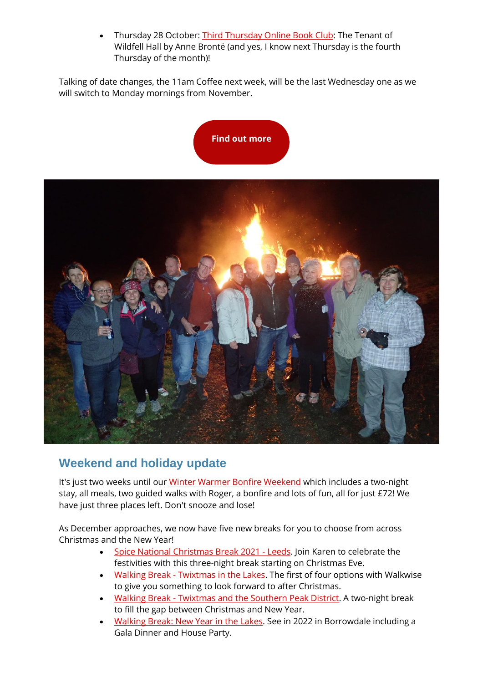Thursday 28 October: [Third Thursday Online Book Club:](https://spiceuk.lt.acemlna.com/Prod/link-tracker?redirectUrl=aHR0cHMlM0ElMkYlMkZ3d3cuc3BpY2V1ay5jb20lMkZldmVudHMtaG9saWRheXMlMkZ0aGlyZC10aHVyc2RheS1vbmxpbmUtYm9vay1jbHViLXRoZS10ZW5hbnQtb2Ytd2lsZGZlbGwtaGFsbC1ieS1hbm5lLWJyb250&sig=84G5boEYVuX7zafqgRyxqDVt7st55obi3w4aBZpKYmaN&iat=1634835112&a=%7C%7C650344965%7C%7C&account=spiceuk%2Eactivehosted%2Ecom&email=1lNuJE%2BrfgC%2F8jRYTdcwIV8mo4ad0FCroTtAVDq%2FbzQ%3D&s=b900027c55ea3ffe9431fd4817f89468&i=195A211A4A4891) The Tenant of Wildfell Hall by Anne Brontë (and yes, I know next Thursday is the fourth Thursday of the month)!

Talking of date changes, the 11am Coffee next week, will be the last Wednesday one as we will switch to Monday mornings from November.





#### **Weekend and holiday update**

It's just two weeks until our [Winter Warmer Bonfire Weekend](https://spiceuk.lt.acemlna.com/Prod/link-tracker?redirectUrl=aHR0cHMlM0ElMkYlMkZ3d3cuc3BpY2V1ay5jb20lMkZldmVudHMtaG9saWRheXMlMkZ3aW50ZXItd2FybWVyLWJvbmZpcmUtd2Vla2VuZC0wNi1ub3YtMjA=&sig=4VD5JoUuzWnCibzzuZBxhStxwKYsV2zG8wG2D1HEBFiV&iat=1634835112&a=%7C%7C650344965%7C%7C&account=spiceuk%2Eactivehosted%2Ecom&email=1lNuJE%2BrfgC%2F8jRYTdcwIV8mo4ad0FCroTtAVDq%2FbzQ%3D&s=b900027c55ea3ffe9431fd4817f89468&i=195A211A4A4863) which includes a two-night stay, all meals, two guided walks with Roger, a bonfire and lots of fun, all for just £72! We have just three places left. Don't snooze and lose!

As December approaches, we now have five new breaks for you to choose from across Christmas and the New Year!

- [Spice National Christmas Break 2021 -](https://spiceuk.lt.acemlna.com/Prod/link-tracker?redirectUrl=aHR0cHMlM0ElMkYlMkZ3d3cuc3BpY2V1ay5jb20lMkZldmVudHMtaG9saWRheXMlMkZzcGljZS1uYXRpb25hbC1jaHJpc3RtYXMtYnJlYWstMjAyMS1sZWVkcw==&sig=4Yzp5Xn975crWGpn7z4dVr1v2MvQqFGP9zLXX3RyNjEj&iat=1634835112&a=%7C%7C650344965%7C%7C&account=spiceuk%2Eactivehosted%2Ecom&email=1lNuJE%2BrfgC%2F8jRYTdcwIV8mo4ad0FCroTtAVDq%2FbzQ%3D&s=b900027c55ea3ffe9431fd4817f89468&i=195A211A4A4892) Leeds. Join Karen to celebrate the festivities with this three-night break starting on Christmas Eve.
- Walking Break [Twixtmas in the Lakes.](https://spiceuk.lt.acemlna.com/Prod/link-tracker?redirectUrl=aHR0cHMlM0ElMkYlMkZ3d3cuc3BpY2V1ay5jb20lMkZldmVudHMtaG9saWRheXMlMkZ3YWxraW5nLWJyZWFrLXR3aXh0bWFzLWluLXRoZS1sYWtlcy0yNy1kZWMtMjE=&sig=8irFFuXK3e8493wHUUXDhkqiQYhh46hyFCHwJiLvAfX5&iat=1634835112&a=%7C%7C650344965%7C%7C&account=spiceuk%2Eactivehosted%2Ecom&email=1lNuJE%2BrfgC%2F8jRYTdcwIV8mo4ad0FCroTtAVDq%2FbzQ%3D&s=b900027c55ea3ffe9431fd4817f89468&i=195A211A4A4893) The first of four options with Walkwise to give you something to look forward to after Christmas.
- Walking Break [Twixtmas and the Southern Peak District.](https://spiceuk.lt.acemlna.com/Prod/link-tracker?redirectUrl=aHR0cHMlM0ElMkYlMkZ3d3cuc3BpY2V1ay5jb20lMkZldmVudHMtaG9saWRheXMlMkZ3YWxraW5nLWJyZWFrLXR3aXh0bWFzLWRvdmVkYWxlLXRoZS1zb3V0aGVybi1wZWFrLWRpc3RyaWN0&sig=spnLrbH6JsL3xcfL3ywdUyjAdUwBaU8cTezBn9UaDAg&iat=1634835112&a=%7C%7C650344965%7C%7C&account=spiceuk%2Eactivehosted%2Ecom&email=1lNuJE%2BrfgC%2F8jRYTdcwIV8mo4ad0FCroTtAVDq%2FbzQ%3D&s=b900027c55ea3ffe9431fd4817f89468&i=195A211A4A4894) A two-night break to fill the gap between Christmas and New Year.
- [Walking Break: New Year in the Lakes.](https://spiceuk.lt.acemlna.com/Prod/link-tracker?redirectUrl=aHR0cHMlM0ElMkYlMkZ3d3cuc3BpY2V1ay5jb20lMkZldmVudHMtaG9saWRheXMlMkZ3YWxraW5nLWJyZWFrLW5ldy15ZWFyLWluLXRoZS1sYWtlcy0yOS1kZWMtMjE=&sig=AdDefSPv7PND78uig9qTPd7SL2y9WDYYaNyMqryduCHY&iat=1634835112&a=%7C%7C650344965%7C%7C&account=spiceuk%2Eactivehosted%2Ecom&email=1lNuJE%2BrfgC%2F8jRYTdcwIV8mo4ad0FCroTtAVDq%2FbzQ%3D&s=b900027c55ea3ffe9431fd4817f89468&i=195A211A4A4895) See in 2022 in Borrowdale including a Gala Dinner and House Party.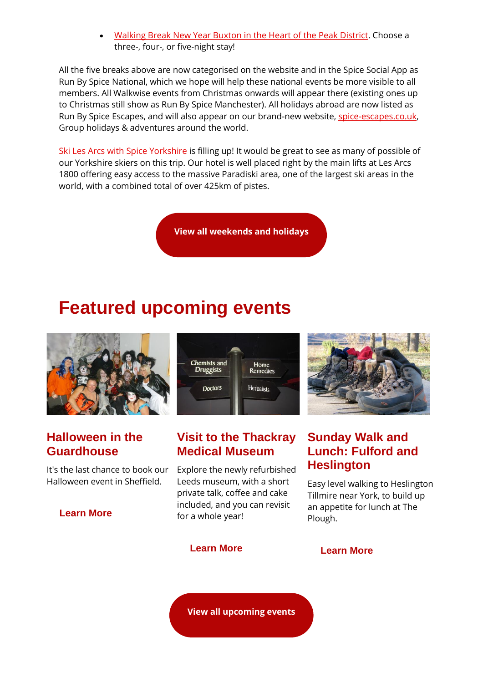• [Walking Break New Year Buxton in the Heart of the Peak District.](https://spiceuk.lt.acemlna.com/Prod/link-tracker?redirectUrl=aHR0cHMlM0ElMkYlMkZ3d3cuc3BpY2V1ay5jb20lMkZldmVudHMtaG9saWRheXMlMkZ3YWxraW5nLWJyZWFrLW5ldy15ZWFyLWJ1eHRvbi1pbi10aGUtaGVhcnQtb2YtdGhlLXBlYWstZGlzdHJpY3Q=&sig=3JgYGhpZpfQTkmSi3MAUAHLHfZEDPuewrbRPsytJhPAe&iat=1634835112&a=%7C%7C650344965%7C%7C&account=spiceuk%2Eactivehosted%2Ecom&email=1lNuJE%2BrfgC%2F8jRYTdcwIV8mo4ad0FCroTtAVDq%2FbzQ%3D&s=b900027c55ea3ffe9431fd4817f89468&i=195A211A4A4896) Choose a three-, four-, or five-night stay!

All the five breaks above are now categorised on the website and in the Spice Social App as Run By Spice National, which we hope will help these national events be more visible to all members. All Walkwise events from Christmas onwards will appear there (existing ones up to Christmas still show as Run By Spice Manchester). All holidays abroad are now listed as Run By Spice Escapes, and will also appear on our brand-new website, [spice-escapes.co.uk,](https://spiceuk.lt.acemlna.com/Prod/link-tracker?redirectUrl=aHR0cHMlM0ElMkYlMkZ3d3cuc3BpY2UtZXNjYXBlcy5jby51ayUyRg==&sig=J38D7NgoBRcXuKj9Pxnb6C3FzAZ9WMJtkRjWKjZtgbVn&iat=1634835112&a=%7C%7C650344965%7C%7C&account=spiceuk%2Eactivehosted%2Ecom&email=1lNuJE%2BrfgC%2F8jRYTdcwIV8mo4ad0FCroTtAVDq%2FbzQ%3D&s=b900027c55ea3ffe9431fd4817f89468&i=195A211A4A4897) Group holidays & adventures around the world.

[Ski Les Arcs with Spice Yorkshire](https://spiceuk.lt.acemlna.com/Prod/link-tracker?redirectUrl=aHR0cHMlM0ElMkYlMkZ3d3cuc3BpY2V1ay5jb20lMkZldmVudHMtaG9saWRheXMlMkZza2ktbGVzLWFyY3Mtd2l0aC1zcGljZS15b3Jrc2hpcmU=&sig=GZGD1DkHZ18jcTkwDcRGXPaj5R4FnmsqJ5n9LGFRq6m&iat=1634835112&a=%7C%7C650344965%7C%7C&account=spiceuk%2Eactivehosted%2Ecom&email=1lNuJE%2BrfgC%2F8jRYTdcwIV8mo4ad0FCroTtAVDq%2FbzQ%3D&s=b900027c55ea3ffe9431fd4817f89468&i=195A211A4A4865) is filling up! It would be great to see as many of possible of our Yorkshire skiers on this trip. Our hotel is well placed right by the main lifts at Les Arcs 1800 offering easy access to the massive Paradiski area, one of the largest ski areas in the world, with a combined total of over 425km of pistes.

**[View all weekends and holidays](https://spiceuk.lt.acemlna.com/Prod/link-tracker?redirectUrl=aHR0cHMlM0ElMkYlMkZ3d3cuc3BpY2V1ay5jb20lMkZldmVudHMtaG9saWRheXMlM0Zvd25lciUzREFsbCUyNm1hc3RlckNhdGVnb3J5JTNESG9saWRheXMlMjZtYXN0ZXJDYXRlZ29yeSUzRFdlZWtlbmRzJTI1MjBBd2F5&sig=8ChMkDAZNzLQhsxxecgAkRKEM4ZxdGRcZwDvRC6zq3ie&iat=1634835112&a=%7C%7C650344965%7C%7C&account=spiceuk%2Eactivehosted%2Ecom&email=1lNuJE%2BrfgC%2F8jRYTdcwIV8mo4ad0FCroTtAVDq%2FbzQ%3D&s=b900027c55ea3ffe9431fd4817f89468&i=195A211A4A4862)**

## **Featured upcoming events**



#### **Halloween in the Guardhouse**

It's the last chance to book our Halloween event in Sheffield.

#### **[Learn More](https://spiceuk.lt.acemlna.com/Prod/link-tracker?redirectUrl=aHR0cHMlM0ElMkYlMkZ3d3cuc3BpY2V1ay5jb20lMkZldmVudHMtaG9saWRheXMlMkZoYWxsb3dlZW4taW4tdGhlLWd1YXJkaG91c2U=&sig=5qYHeJD1RzKbBB63gYFeVm3GHm937keUWCbZ7ZQNymCJ&iat=1634835112&a=%7C%7C650344965%7C%7C&account=spiceuk%2Eactivehosted%2Ecom&email=1lNuJE%2BrfgC%2F8jRYTdcwIV8mo4ad0FCroTtAVDq%2FbzQ%3D&s=b900027c55ea3ffe9431fd4817f89468&i=195A211A4A4867)**



#### **Visit to the Thackray Medical Museum**

Explore the newly refurbished Leeds museum, with a short private talk, coffee and cake included, and you can revisit for a whole year!



### **Sunday Walk and Lunch: Fulford and Heslington**

Easy level walking to Heslington Tillmire near York, to build up an appetite for lunch at The Plough.

#### **[Learn More](https://spiceuk.lt.acemlna.com/Prod/link-tracker?redirectUrl=aHR0cHMlM0ElMkYlMkZ3d3cuc3BpY2V1ay5jb20lMkZldmVudHMtaG9saWRheXMlMkZ2aXNpdC10by10aGUtdGhhY2tyYXktbWVkaWNhbC1tdXNldW0=&sig=A5bfNuYmQHyE1HTYQLWAen8HFS3xejTJF6uwsHVWLfEv&iat=1634835112&a=%7C%7C650344965%7C%7C&account=spiceuk%2Eactivehosted%2Ecom&email=1lNuJE%2BrfgC%2F8jRYTdcwIV8mo4ad0FCroTtAVDq%2FbzQ%3D&s=b900027c55ea3ffe9431fd4817f89468&i=195A211A4A4881) [Learn More](https://spiceuk.lt.acemlna.com/Prod/link-tracker?redirectUrl=aHR0cHMlM0ElMkYlMkZ3d3cuc3BpY2V1ay5jb20lMkZldmVudHMtaG9saWRheXMlMkZzdW5kYXktd2Fsay1hbmQtbHVuY2gtZnVsZm9yZC1hbmQtaGVzbGluZ3Rvbg==&sig=8RZZwoF1X4yr8zWHKA9xFqXB1RhXjTPYmvmLgbPJki8j&iat=1634835112&a=%7C%7C650344965%7C%7C&account=spiceuk%2Eactivehosted%2Ecom&email=1lNuJE%2BrfgC%2F8jRYTdcwIV8mo4ad0FCroTtAVDq%2FbzQ%3D&s=b900027c55ea3ffe9431fd4817f89468&i=195A211A4A4882)**

**[View all upcoming events](https://spiceuk.lt.acemlna.com/Prod/link-tracker?redirectUrl=aHR0cHMlM0ElMkYlMkZ3d3cuc3BpY2V1ay5jb20lMkZldmVudHMtaG9saWRheXMlM0ZtYXN0ZXJDYXRlZ29yeSUzREFsbCUyNmNhdGVnb3J5JTNEQWxsJTI2b3duZXIlM0RBbGw=&sig=FaYcFqMFbqvTpX1JxbHxVu1vYu2ua5MSQfW1SCz8LoeS&iat=1634835112&a=%7C%7C650344965%7C%7C&account=spiceuk%2Eactivehosted%2Ecom&email=1lNuJE%2BrfgC%2F8jRYTdcwIV8mo4ad0FCroTtAVDq%2FbzQ%3D&s=b900027c55ea3ffe9431fd4817f89468&i=195A211A4A4868)**